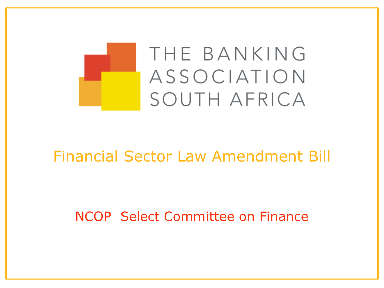

### Financial Sector Law Amendment Bill

NCOP Select Committee on Finance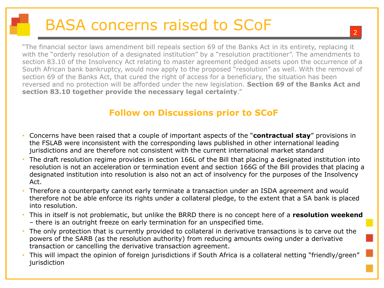## BASA concerns raised to SCoF

"The financial sector laws amendment bill repeals section 69 of the Banks Act in its entirety, replacing it with the "orderly resolution of a designated institution" by a "resolution practitioner". The amendments to section 83.10 of the Insolvency Act relating to master agreement pledged assets upon the occurrence of a South African bank bankruptcy, would now apply to the proposed "resolution" as well. With the removal of section 69 of the Banks Act, that cured the right of access for a beneficiary, the situation has been reversed and no protection will be afforded under the new legislation. **Section 69 of the Banks Act and section 83.10 together provide the necessary legal certainty**."

#### **Follow on Discussions prior to SCoF**

- Concerns have been raised that a couple of important aspects of the "**contractual stay**" provisions in the FSLAB were inconsistent with the corresponding laws published in other international leading jurisdictions and are therefore not consistent with the current international market standard
- The draft resolution regime provides in section 166L of the Bill that placing a designated institution into resolution is not an acceleration or termination event and section 166G of the Bill provides that placing a designated institution into resolution is also not an act of insolvency for the purposes of the Insolvency Act.
- Therefore a counterparty cannot early terminate a transaction under an ISDA agreement and would therefore not be able enforce its rights under a collateral pledge, to the extent that a SA bank is placed into resolution.
- This in itself is not problematic, but unlike the BRRD there is no concept here of a **resolution weekend**  – there is an outright freeze on early termination for an unspecified time.
- The only protection that is currently provided to collateral in derivative transactions is to carve out the powers of the SARB (as the resolution authority) from reducing amounts owing under a derivative transaction or cancelling the derivative transaction agreement.
- This will impact the opinion of foreign jurisdictions if South Africa is a collateral netting "friendly/green" jurisdiction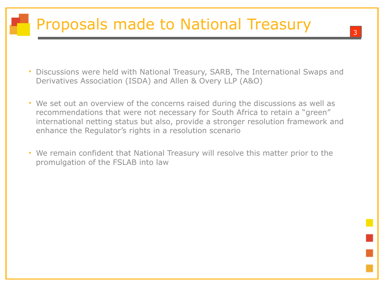## Proposals made to National Treasury

- Discussions were held with National Treasury, SARB, The International Swaps and Derivatives Association (ISDA) and Allen & Overy LLP (A&O)
- We set out an overview of the concerns raised during the discussions as well as recommendations that were not necessary for South Africa to retain a "green" international netting status but also, provide a stronger resolution framework and enhance the Regulator's rights in a resolution scenario
- We remain confident that National Treasury will resolve this matter prior to the promulgation of the FSLAB into law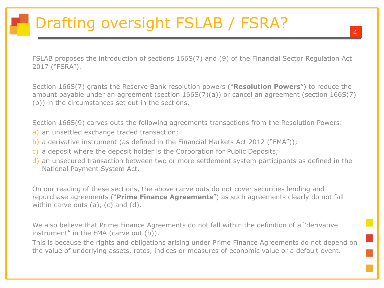# Drafting oversight FSLAB / FSRA?

FSLAB proposes the introduction of sections 166S(7) and (9) of the Financial Sector Regulation Act 2017 ("FSRA").

Section 166S(7) grants the Reserve Bank resolution powers ("**Resolution Powers**") to reduce the amount payable under an agreement (section 166S(7)(a)) or cancel an agreement (section 166S(7) (b)) in the circumstances set out in the sections.

Section 166S(9) carves outs the following agreements transactions from the Resolution Powers:

- a) an unsettled exchange traded transaction;
- b) a derivative instrument (as defined in the Financial Markets Act 2012 ("FMA"));
- c) a deposit where the deposit holder is the Corporation for Public Deposits;
- d) an unsecured transaction between two or more settlement system participants as defined in the National Payment System Act.

On our reading of these sections, the above carve outs do not cover securities lending and repurchase agreements ("**Prime Finance Agreements**") as such agreements clearly do not fall within carve outs (a), (c) and (d).

We also believe that Prime Finance Agreements do not fall within the definition of a "derivative instrument" in the FMA (carve out (b)).

This is because the rights and obligations arising under Prime Finance Agreements do not depend on the value of underlying assets, rates, indices or measures of economic value or a default event.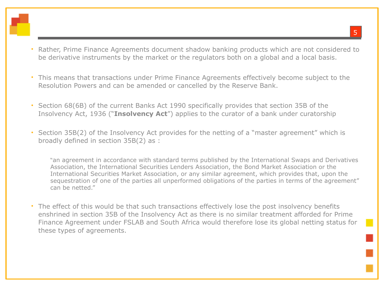- Rather, Prime Finance Agreements document shadow banking products which are not considered to be derivative instruments by the market or the regulators both on a global and a local basis.
- This means that transactions under Prime Finance Agreements effectively become subject to the Resolution Powers and can be amended or cancelled by the Reserve Bank.
- Section 68(6B) of the current Banks Act 1990 specifically provides that section 35B of the Insolvency Act, 1936 ("**Insolvency Act**") applies to the curator of a bank under curatorship
- Section 35B(2) of the Insolvency Act provides for the netting of a "master agreement" which is broadly defined in section 35B(2) as :

"an agreement in accordance with standard terms published by the International Swaps and Derivatives Association, the International Securities Lenders Association, the Bond Market Association or the International Securities Market Association, or any similar agreement, which provides that, upon the sequestration of one of the parties all unperformed obligations of the parties in terms of the agreement" can be netted."

• The effect of this would be that such transactions effectively lose the post insolvency benefits enshrined in section 35B of the Insolvency Act as there is no similar treatment afforded for Prime Finance Agreement under FSLAB and South Africa would therefore lose its global netting status for these types of agreements.